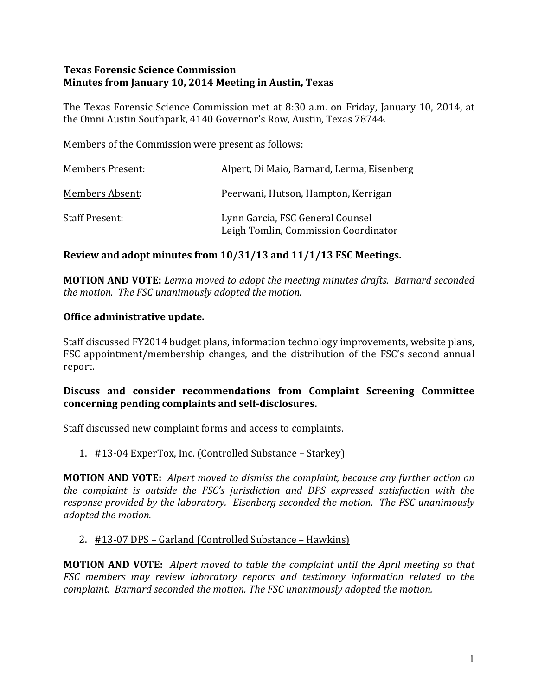## **Texas Forensic Science Commission Minutes from January 10, 2014 Meeting in Austin, Texas**

The Texas Forensic Science Commission met at 8:30 a.m. on Friday, January 10, 2014, at the Omni Austin Southpark, 4140 Governor's Row, Austin, Texas 78744.

Members of the Commission were present as follows:

| <b>Members Present:</b> | Alpert, Di Maio, Barnard, Lerma, Eisenberg                               |
|-------------------------|--------------------------------------------------------------------------|
| <b>Members Absent:</b>  | Peerwani, Hutson, Hampton, Kerrigan                                      |
| <b>Staff Present:</b>   | Lynn Garcia, FSC General Counsel<br>Leigh Tomlin, Commission Coordinator |

# Review and adopt minutes from  $10/31/13$  and  $11/1/13$  FSC Meetings.

**MOTION AND VOTE:** Lerma moved to adopt the meeting minutes drafts. Barnard seconded *the motion. The FSC unanimously adopted the motion.* 

## **Office administrative update.**

Staff discussed FY2014 budget plans, information technology improvements, website plans, FSC appointment/membership changes, and the distribution of the FSC's second annual report.

## Discuss and consider recommendations from Complaint Screening Committee concerning pending complaints and self-disclosures.

Staff discussed new complaint forms and access to complaints.

1. #13-04 ExperTox, Inc. (Controlled Substance – Starkey)

**MOTION AND VOTE:** Alpert moved to dismiss the complaint, because any further action on *the complaint is outside the FSC's jurisdiction and DPS expressed satisfaction with the response provided by the laboratory. Eisenberg seconded the motion. The FSC unanimously adopted the motion.*

#### 2. #13-07 DPS – Garland (Controlled Substance – Hawkins)

**MOTION AND VOTE:** Alpert moved to table the complaint until the April meeting so that *FSC* members may review laboratory reports and testimony information related to the *complaint.* Barnard seconded the motion. The FSC unanimously adopted the motion.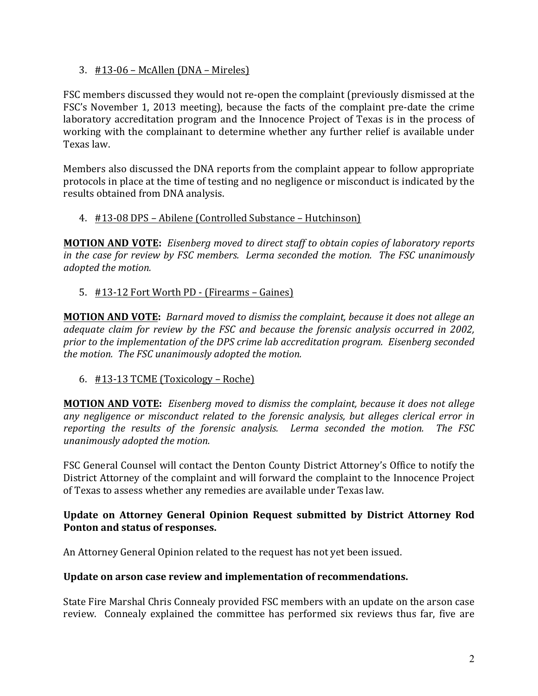3.  $\#13-06$  – McAllen (DNA – Mireles)

FSC members discussed they would not re-open the complaint (previously dismissed at the FSC's November 1, 2013 meeting), because the facts of the complaint pre-date the crime laboratory accreditation program and the Innocence Project of Texas is in the process of working with the complainant to determine whether any further relief is available under Texas law. 

Members also discussed the DNA reports from the complaint appear to follow appropriate protocols in place at the time of testing and no negligence or misconduct is indicated by the results obtained from DNA analysis.

## 4. #13-08 DPS – Abilene (Controlled Substance – Hutchinson)

**MOTION AND VOTE:** Eisenberg moved to direct staff to obtain copies of laboratory reports *in the case for review by FSC members. Lerma seconded the motion. The FSC unanimously adopted the motion.* 

## 5. #13-12 Fort Worth PD - (Firearms – Gaines)

**MOTION AND VOTE:** *Barnard moved to dismiss the complaint, because it does not allege an adequate claim for review by the FSC and because the forensic analysis occurred in 2002,* prior to the implementation of the DPS crime lab accreditation program. Eisenberg seconded *the motion. The FSC unanimously adopted the motion.* 

6.  $\#13-13$  TCME (Toxicology – Roche)

**MOTION AND VOTE:** *Eisenberg moved to dismiss the complaint, because it does not allege any negligence or misconduct related to the forensic analysis, but alleges clerical error in*  reporting the results of the forensic analysis. Lerma seconded the motion. The FSC *unanimously adopted the motion.*

FSC General Counsel will contact the Denton County District Attorney's Office to notify the District Attorney of the complaint and will forward the complaint to the Innocence Project of Texas to assess whether any remedies are available under Texas law.

## **Update on Attorney General Opinion Request submitted by District Attorney Rod** Ponton and status of responses.

An Attorney General Opinion related to the request has not yet been issued.

#### Update on arson case review and implementation of recommendations.

State Fire Marshal Chris Connealy provided FSC members with an update on the arson case review. Connealy explained the committee has performed six reviews thus far, five are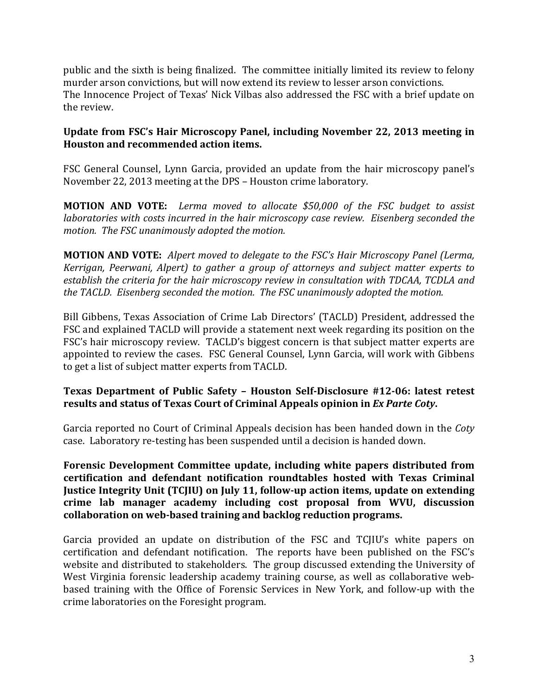public and the sixth is being finalized. The committee initially limited its review to felony murder arson convictions, but will now extend its review to lesser arson convictions. The Innocence Project of Texas' Nick Vilbas also addressed the FSC with a brief update on the review.

## Update from FSC's Hair Microscopy Panel, including November 22, 2013 meeting in **Houston and recommended action items.**

FSC General Counsel, Lynn Garcia, provided an update from the hair microscopy panel's November 22, 2013 meeting at the DPS – Houston crime laboratory.

**MOTION AND VOTE:** Lerma moved to allocate \$50,000 of the FSC budget to assist *laboratories with costs incurred in the hair microscopy case review. Eisenberg seconded the motion.* The FSC unanimously adopted the motion.

**MOTION AND VOTE:** Alpert moved to delegate to the FSC's Hair Microscopy Panel (Lerma, *Kerrigan, Peerwani, Alpert)* to *gather a group of attorneys and subject matter experts to* establish the criteria for the hair microscopy review in consultation with TDCAA, TCDLA and *the TACLD.* Eisenberg seconded the motion. The FSC unanimously adopted the motion.

Bill Gibbens, Texas Association of Crime Lab Directors' (TACLD) President, addressed the FSC and explained TACLD will provide a statement next week regarding its position on the FSC's hair microscopy review. TACLD's biggest concern is that subject matter experts are appointed to review the cases. FSC General Counsel, Lynn Garcia, will work with Gibbens to get a list of subject matter experts from TACLD.

## Texas Department of Public Safety - Houston Self-Disclosure #12-06: latest retest results and status of Texas Court of Criminal Appeals opinion in *Ex Parte Coty*.

Garcia reported no Court of Criminal Appeals decision has been handed down in the *Coty* case. Laboratory re-testing has been suspended until a decision is handed down.

Forensic Development Committee update, including white papers distributed from certification and defendant notification roundtables hosted with Texas Criminal **Justice Integrity Unit (TCJIU) on July 11, follow-up action items, update on extending** crime lab manager academy including cost proposal from WVU, discussion collaboration on web-based training and backlog reduction programs.

Garcia provided an update on distribution of the FSC and TCJIU's white papers on certification and defendant notification. The reports have been published on the FSC's website and distributed to stakeholders. The group discussed extending the University of West Virginia forensic leadership academy training course, as well as collaborative webbased training with the Office of Forensic Services in New York, and follow-up with the crime laboratories on the Foresight program.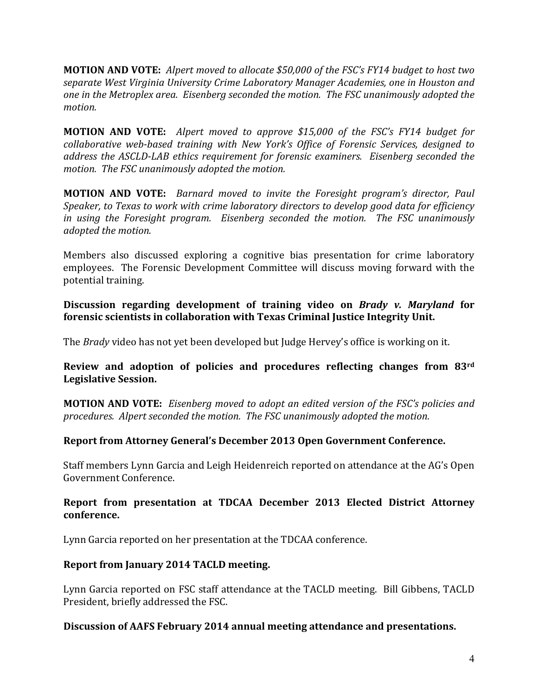**MOTION AND VOTE:** Alpert moved to allocate \$50,000 of the FSC's FY14 budget to host two separate West Virginia University Crime Laboratory Manager Academies, one in Houston and *one* in the Metroplex area. Eisenberg seconded the motion. The FSC unanimously adopted the *motion.*

**MOTION AND VOTE:** Alpert moved to approve \$15,000 of the FSC's FY14 budget for collaborative web-based training with New York's Office of Forensic Services, designed to *address the ASCLD-LAB ethics requirement for forensic examiners. Eisenberg seconded the motion.* The FSC unanimously adopted the motion.

**MOTION AND VOTE:** Barnard moved to invite the Foresight program's director, Paul *Speaker, to Texas to work with crime laboratory directors to develop good data for efficiency in* using the Foresight program. Eisenberg seconded the motion. The FSC unanimously *adopted the motion.* 

Members also discussed exploring a cognitive bias presentation for crime laboratory employees. The Forensic Development Committee will discuss moving forward with the potential training.

**Discussion regarding development of training video on** *Brady v. Maryland* **for forensic scientists in collaboration with Texas Criminal Justice Integrity Unit.** 

The *Brady* video has not yet been developed but Judge Hervey's office is working on it.

**Review and adoption of policies and procedures reflecting changes from 83rd Legislative Session.**

**MOTION AND VOTE:** *Eisenberg moved to adopt an edited version of the FSC's policies and* procedures. Alpert seconded the motion. The FSC unanimously adopted the motion.

# **Report from Attorney General's December 2013 Open Government Conference.**

Staff members Lynn Garcia and Leigh Heidenreich reported on attendance at the AG's Open Government Conference.

#### **Report from presentation at TDCAA December 2013 Elected District Attorney conference.**

Lynn Garcia reported on her presentation at the TDCAA conference.

# **Report from January 2014 TACLD meeting.**

Lynn Garcia reported on FSC staff attendance at the TACLD meeting. Bill Gibbens, TACLD President, briefly addressed the FSC.

#### **Discussion of AAFS February 2014 annual meeting attendance and presentations.**